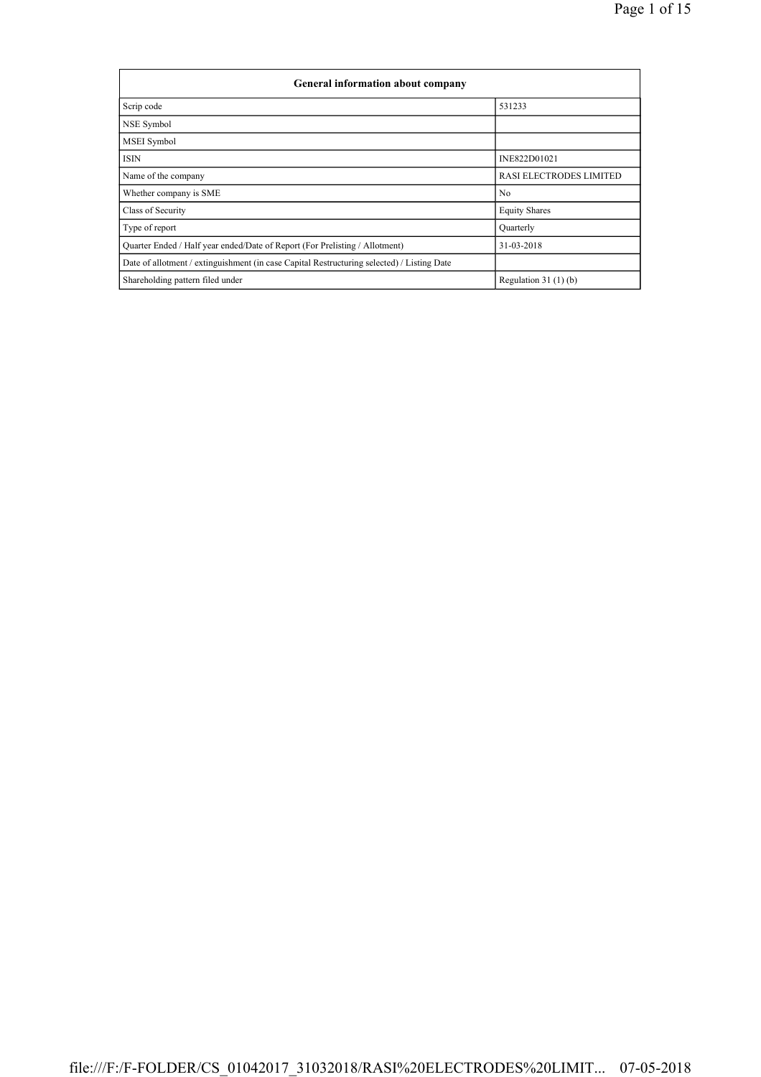| <b>General information about company</b>                                                   |                         |  |  |  |  |  |  |
|--------------------------------------------------------------------------------------------|-------------------------|--|--|--|--|--|--|
| Scrip code                                                                                 | 531233                  |  |  |  |  |  |  |
| NSE Symbol                                                                                 |                         |  |  |  |  |  |  |
| MSEI Symbol                                                                                |                         |  |  |  |  |  |  |
| <b>ISIN</b>                                                                                | INE822D01021            |  |  |  |  |  |  |
| Name of the company                                                                        | RASI ELECTRODES LIMITED |  |  |  |  |  |  |
| Whether company is SME                                                                     | No                      |  |  |  |  |  |  |
| Class of Security                                                                          | <b>Equity Shares</b>    |  |  |  |  |  |  |
| Type of report                                                                             | Ouarterly               |  |  |  |  |  |  |
| Quarter Ended / Half year ended/Date of Report (For Prelisting / Allotment)                | 31-03-2018              |  |  |  |  |  |  |
| Date of allotment / extinguishment (in case Capital Restructuring selected) / Listing Date |                         |  |  |  |  |  |  |
| Shareholding pattern filed under                                                           | Regulation $31(1)(b)$   |  |  |  |  |  |  |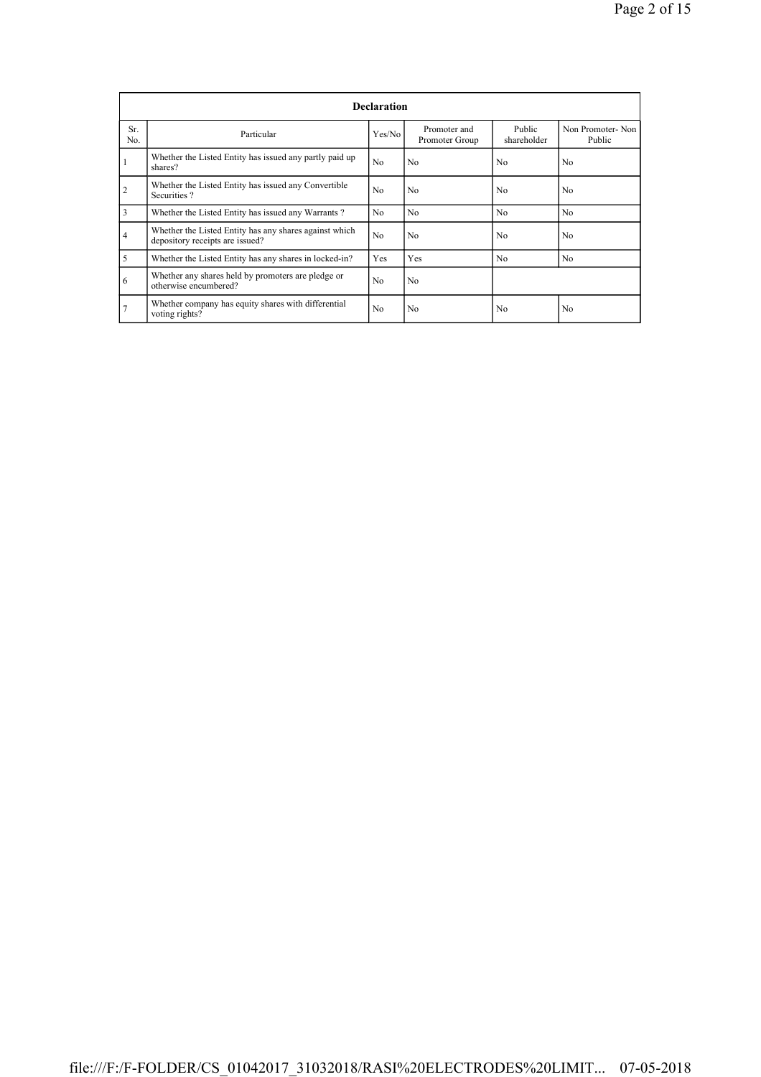|                | <b>Declaration</b>                                                                        |                |                                |                       |                            |  |  |  |  |  |
|----------------|-------------------------------------------------------------------------------------------|----------------|--------------------------------|-----------------------|----------------------------|--|--|--|--|--|
| Sr.<br>No.     | Particular                                                                                | Yes/No         | Promoter and<br>Promoter Group | Public<br>shareholder | Non Promoter-Non<br>Public |  |  |  |  |  |
| $\mathbf{1}$   | Whether the Listed Entity has issued any partly paid up<br>shares?                        | N <sub>0</sub> | N <sub>0</sub>                 | N <sub>0</sub>        | N <sub>0</sub>             |  |  |  |  |  |
| $\overline{2}$ | Whether the Listed Entity has issued any Convertible<br>Securities?                       | N <sub>0</sub> | No.                            | No.                   | No                         |  |  |  |  |  |
| 3              | Whether the Listed Entity has issued any Warrants?                                        | N <sub>0</sub> | N <sub>0</sub>                 | N <sub>0</sub>        | N <sub>0</sub>             |  |  |  |  |  |
| $\overline{4}$ | Whether the Listed Entity has any shares against which<br>depository receipts are issued? | N <sub>0</sub> | N <sub>0</sub>                 | N <sub>0</sub>        | N <sub>0</sub>             |  |  |  |  |  |
| 5              | Whether the Listed Entity has any shares in locked-in?                                    | Yes            | Yes                            | No.                   | N <sub>0</sub>             |  |  |  |  |  |
| 6              | Whether any shares held by promoters are pledge or<br>otherwise encumbered?               | N <sub>0</sub> | N <sub>0</sub>                 |                       |                            |  |  |  |  |  |
| $\overline{7}$ | Whether company has equity shares with differential<br>voting rights?                     | N <sub>0</sub> | N <sub>0</sub>                 | N <sub>0</sub>        | N <sub>0</sub>             |  |  |  |  |  |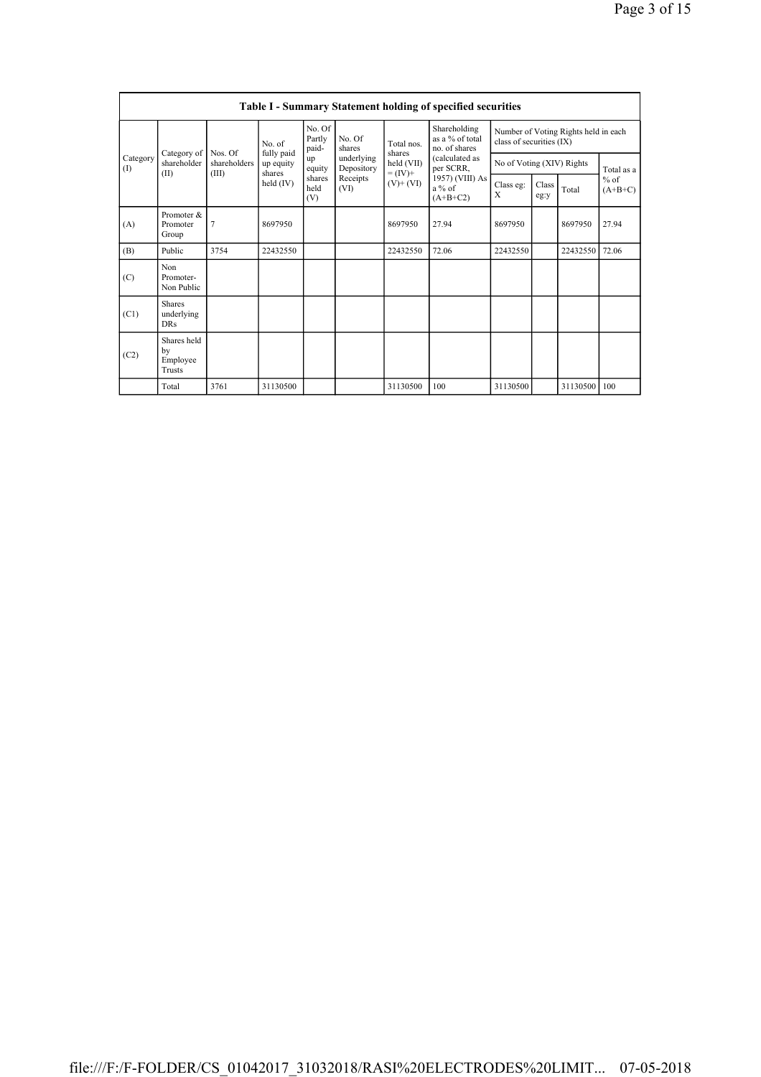|                 | Table I - Summary Statement holding of specified securities |                         |                                                |                                                                    |                                                                  |                                                      |                                                                                                                             |                                                                  |               |          |                     |  |
|-----------------|-------------------------------------------------------------|-------------------------|------------------------------------------------|--------------------------------------------------------------------|------------------------------------------------------------------|------------------------------------------------------|-----------------------------------------------------------------------------------------------------------------------------|------------------------------------------------------------------|---------------|----------|---------------------|--|
| Category<br>(1) |                                                             | No. of                  |                                                | No. Of<br>Partly<br>paid-<br>up<br>equity<br>shares<br>held<br>(V) | No. Of<br>shares<br>underlying<br>Depository<br>Receipts<br>(VI) | Total nos                                            | Shareholding<br>as a % of total<br>no of shares<br>(calculated as<br>per SCRR,<br>1957) (VIII) As<br>$a\%$ of<br>$(A+B+C2)$ | Number of Voting Rights held in each<br>class of securities (IX) |               |          |                     |  |
|                 | Category of<br>shareholder                                  | Nos. Of<br>shareholders | fully paid<br>up equity<br>shares<br>held (IV) |                                                                    |                                                                  | shares<br>held (VII)<br>$= (IV) +$<br>$(V)$ + $(VI)$ |                                                                                                                             | No of Voting (XIV) Rights                                        |               |          | Total as a          |  |
|                 | (II)                                                        | (III)                   |                                                |                                                                    |                                                                  |                                                      |                                                                                                                             | Class eg:<br>X                                                   | Class<br>eg:y | Total    | $%$ of<br>$(A+B+C)$ |  |
| (A)             | Promoter &<br>Promoter<br>Group                             | $\overline{7}$          | 8697950                                        |                                                                    |                                                                  | 8697950                                              | 27.94                                                                                                                       | 8697950                                                          |               | 8697950  | 27.94               |  |
| (B)             | Public                                                      | 3754                    | 22432550                                       |                                                                    |                                                                  | 22432550                                             | 72.06                                                                                                                       | 22432550                                                         |               | 22432550 | 72.06               |  |
| (C)             | Non<br>Promoter-<br>Non Public                              |                         |                                                |                                                                    |                                                                  |                                                      |                                                                                                                             |                                                                  |               |          |                     |  |
| (C1)            | <b>Shares</b><br>underlying<br><b>DRs</b>                   |                         |                                                |                                                                    |                                                                  |                                                      |                                                                                                                             |                                                                  |               |          |                     |  |
| (C2)            | Shares held<br>by<br>Employee<br>Trusts                     |                         |                                                |                                                                    |                                                                  |                                                      |                                                                                                                             |                                                                  |               |          |                     |  |
|                 | Total                                                       | 3761                    | 31130500                                       |                                                                    |                                                                  | 31130500                                             | 100                                                                                                                         | 31130500                                                         |               | 31130500 | 100                 |  |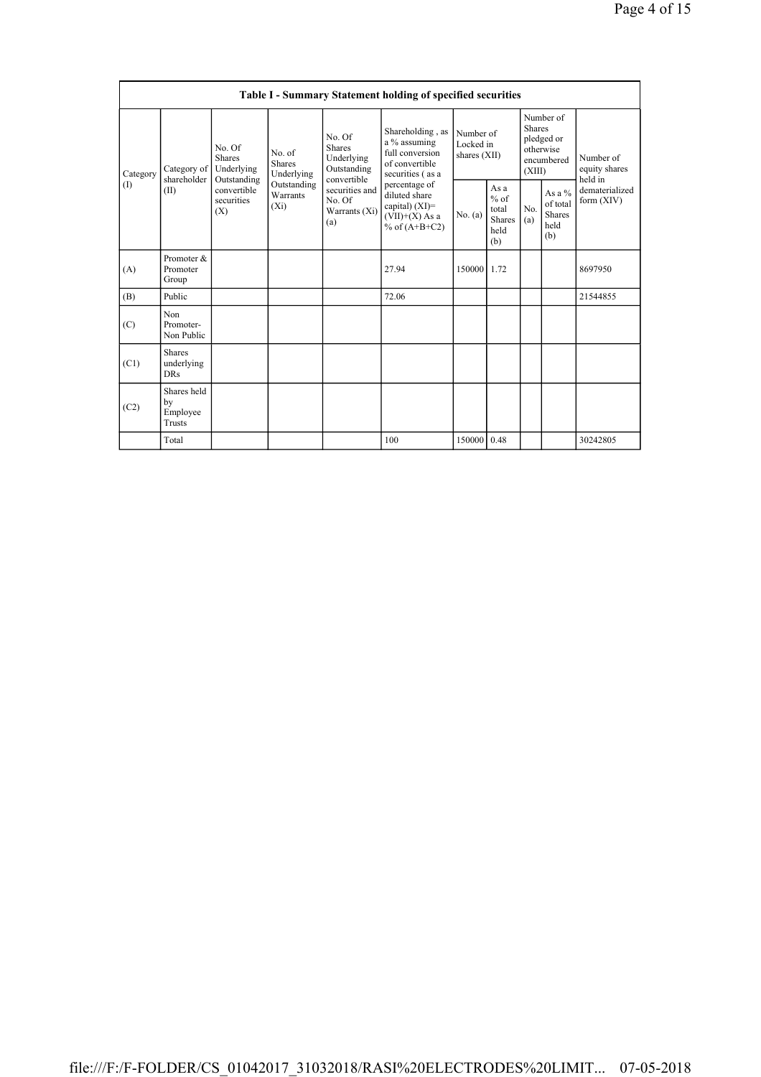|                 | <b>Table I - Summary Statement holding of specified securities</b> |                                                                                       |                                                                                         |                                                                                                                  |                                                                                           |                                                        |            |                                                                               |                              |                                       |  |
|-----------------|--------------------------------------------------------------------|---------------------------------------------------------------------------------------|-----------------------------------------------------------------------------------------|------------------------------------------------------------------------------------------------------------------|-------------------------------------------------------------------------------------------|--------------------------------------------------------|------------|-------------------------------------------------------------------------------|------------------------------|---------------------------------------|--|
| Category<br>(1) | Category of<br>shareholder                                         | No. Of<br>No. of<br><b>Shares</b><br><b>Shares</b><br>Underlying<br>Underlying        |                                                                                         | No. Of<br>Shares<br>Underlying<br>Outstanding<br>convertible<br>securities and<br>No. Of<br>Warrants (Xi)<br>(a) | Shareholding, as<br>a % assuming<br>full conversion<br>of convertible<br>securities (as a | Number of<br>Locked in<br>shares (XII)                 |            | Number of<br><b>Shares</b><br>pledged or<br>otherwise<br>encumbered<br>(XIII) |                              | Number of<br>equity shares<br>held in |  |
|                 | (II)                                                               | Outstanding<br>Outstanding<br>convertible<br>Warrants<br>securities<br>$(X_i)$<br>(X) | percentage of<br>diluted share<br>capital) (XI)=<br>$(VII)+(X)$ As a<br>% of $(A+B+C2)$ |                                                                                                                  | No. (a)                                                                                   | Asa<br>$%$ of<br>total<br><b>Shares</b><br>held<br>(b) | No.<br>(a) | As a %<br>of total<br><b>Shares</b><br>held<br>(b)                            | dematerialized<br>form (XIV) |                                       |  |
| (A)             | Promoter &<br>Promoter<br>Group                                    |                                                                                       |                                                                                         |                                                                                                                  | 27.94                                                                                     | 150000 1.72                                            |            |                                                                               |                              | 8697950                               |  |
| (B)             | Public                                                             |                                                                                       |                                                                                         |                                                                                                                  | 72.06                                                                                     |                                                        |            |                                                                               |                              | 21544855                              |  |
| (C)             | Non<br>Promoter-<br>Non Public                                     |                                                                                       |                                                                                         |                                                                                                                  |                                                                                           |                                                        |            |                                                                               |                              |                                       |  |
| (C1)            | <b>Shares</b><br>underlying<br><b>DRs</b>                          |                                                                                       |                                                                                         |                                                                                                                  |                                                                                           |                                                        |            |                                                                               |                              |                                       |  |
| (C2)            | Shares held<br>by<br>Employee<br>Trusts                            |                                                                                       |                                                                                         |                                                                                                                  |                                                                                           |                                                        |            |                                                                               |                              |                                       |  |
|                 | Total                                                              |                                                                                       |                                                                                         |                                                                                                                  | 100                                                                                       | 150000 0.48                                            |            |                                                                               |                              | 30242805                              |  |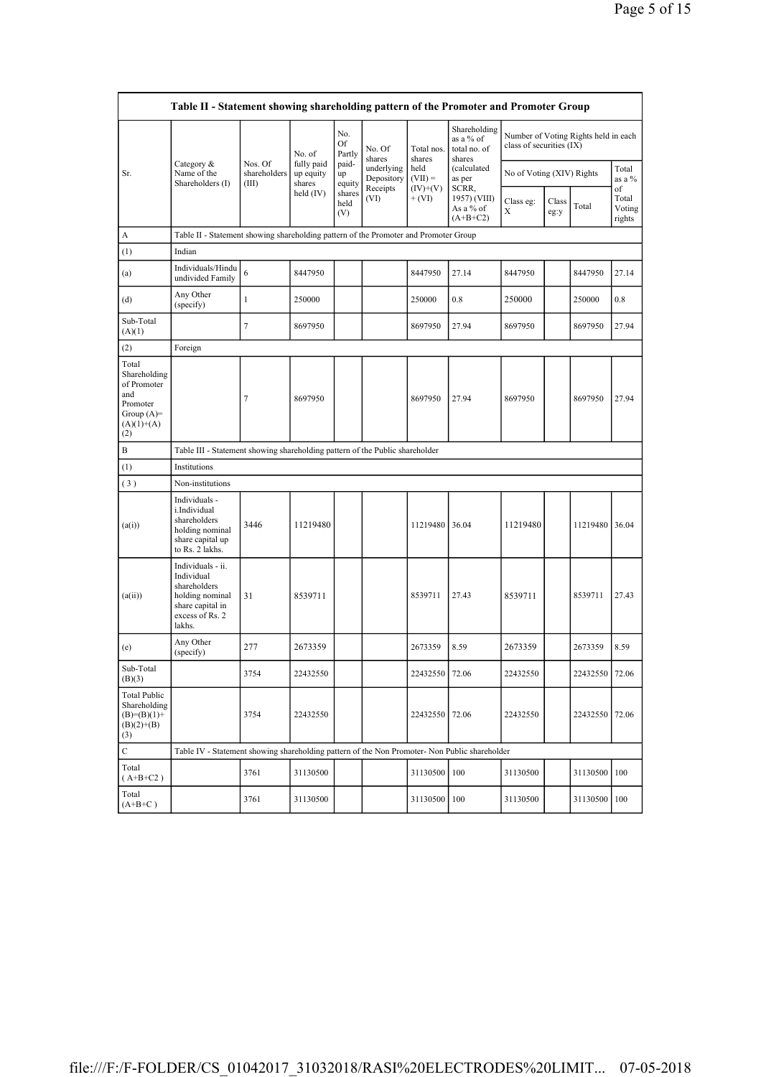|                                                                                                | Table II - Statement showing shareholding pattern of the Promoter and Promoter Group                                |                                  |                                   |                       |                          |                        |                                                     |                           |               |                                      |                                 |
|------------------------------------------------------------------------------------------------|---------------------------------------------------------------------------------------------------------------------|----------------------------------|-----------------------------------|-----------------------|--------------------------|------------------------|-----------------------------------------------------|---------------------------|---------------|--------------------------------------|---------------------------------|
|                                                                                                |                                                                                                                     | Nos. Of<br>shareholders<br>(III) | No. of                            | No.<br>Of<br>Partly   | No. Of<br>shares         | Total nos.<br>shares   | Shareholding<br>as a % of<br>total no. of<br>shares | class of securities (IX)  |               | Number of Voting Rights held in each |                                 |
| Sr.                                                                                            | Category $\&$<br>Name of the<br>Shareholders (I)                                                                    |                                  | fully paid<br>up equity<br>shares | paid-<br>up<br>equity | underlying<br>Depository | held<br>$(VII) =$      | (calculated<br>as per                               | No of Voting (XIV) Rights |               |                                      | Total<br>as a $\%$              |
|                                                                                                |                                                                                                                     |                                  | held $(IV)$                       | shares<br>held<br>(V) | Receipts<br>(VI)         | $(IV)+(V)$<br>$+ (VI)$ | SCRR,<br>1957) (VIII)<br>As a % of<br>$(A+B+C2)$    | Class eg:<br>X            | Class<br>eg:y | Total                                | of<br>Total<br>Voting<br>rights |
| A                                                                                              | Table II - Statement showing shareholding pattern of the Promoter and Promoter Group                                |                                  |                                   |                       |                          |                        |                                                     |                           |               |                                      |                                 |
| (1)                                                                                            | Indian                                                                                                              |                                  |                                   |                       |                          |                        |                                                     |                           |               |                                      |                                 |
| (a)                                                                                            | Individuals/Hindu<br>undivided Family                                                                               | 6                                | 8447950                           |                       |                          | 8447950                | 27.14                                               | 8447950                   |               | 8447950                              | 27.14                           |
| (d)                                                                                            | Any Other<br>(specify)                                                                                              | $\mathbf{1}$                     | 250000                            |                       |                          | 250000                 | 0.8                                                 | 250000                    |               | 250000                               | 0.8                             |
| Sub-Total<br>(A)(1)                                                                            |                                                                                                                     | $\boldsymbol{7}$                 | 8697950                           |                       |                          | 8697950                | 27.94                                               | 8697950                   |               | 8697950                              | 27.94                           |
| (2)                                                                                            | Foreign                                                                                                             |                                  |                                   |                       |                          |                        |                                                     |                           |               |                                      |                                 |
| Total<br>Shareholding<br>of Promoter<br>and<br>Promoter<br>Group $(A)=$<br>$(A)(1)+(A)$<br>(2) |                                                                                                                     | 7                                | 8697950                           |                       |                          | 8697950                | 27.94                                               | 8697950                   |               | 8697950                              | 27.94                           |
| B                                                                                              | Table III - Statement showing shareholding pattern of the Public shareholder                                        |                                  |                                   |                       |                          |                        |                                                     |                           |               |                                      |                                 |
| (1)                                                                                            | Institutions                                                                                                        |                                  |                                   |                       |                          |                        |                                                     |                           |               |                                      |                                 |
| (3)                                                                                            | Non-institutions                                                                                                    |                                  |                                   |                       |                          |                        |                                                     |                           |               |                                      |                                 |
| (a(i))                                                                                         | Individuals -<br>i.Individual<br>shareholders<br>holding nominal<br>share capital up<br>to Rs. 2 lakhs.             | 3446                             | 11219480                          |                       |                          | 11219480               | 36.04                                               | 11219480                  |               | 11219480                             | 36.04                           |
| (a(ii))                                                                                        | Individuals - ii.<br>Individual<br>shareholders<br>holding nominal<br>share capital in<br>excess of Rs. 2<br>lakhs. | 31                               | 8539711                           |                       |                          | 8539711                | 27.43                                               | 8539711                   |               | 8539711                              | 27.43                           |
| (e)                                                                                            | Any Other<br>(specify)                                                                                              | 277                              | 2673359                           |                       |                          | 2673359                | 8.59                                                | 2673359                   |               | 2673359                              | 8.59                            |
| Sub-Total<br>(B)(3)                                                                            |                                                                                                                     | 3754                             | 22432550                          |                       |                          | 22432550 72.06         |                                                     | 22432550                  |               | 22432550                             | 72.06                           |
| <b>Total Public</b><br>Shareholding<br>$(B)= (B)(1) +$<br>$(B)(2)+(B)$<br>(3)                  |                                                                                                                     | 3754                             | 22432550                          |                       |                          | 22432550 72.06         |                                                     | 22432550                  |               | 22432550                             | 72.06                           |
| $\mathbf C$                                                                                    | Table IV - Statement showing shareholding pattern of the Non Promoter- Non Public shareholder                       |                                  |                                   |                       |                          |                        |                                                     |                           |               |                                      |                                 |
| Total<br>$(A+B+C2)$                                                                            |                                                                                                                     | 3761                             | 31130500                          |                       |                          | 31130500               | 100                                                 | 31130500                  |               | 31130500                             | 100                             |
| Total<br>$(A+B+C)$                                                                             |                                                                                                                     | 3761                             | 31130500                          |                       |                          | 31130500 100           |                                                     | 31130500                  |               | 31130500                             | 100                             |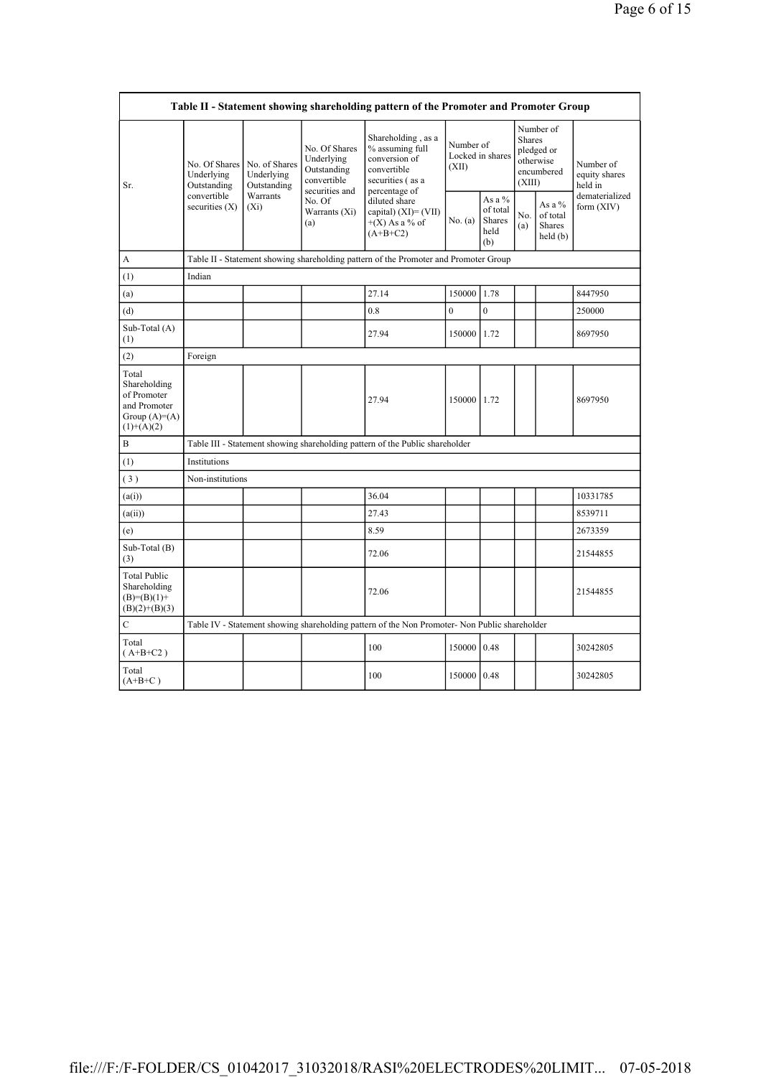| Table II - Statement showing shareholding pattern of the Promoter and Promoter Group   |                                                                               |                                            |                                                           |                                                                                              |                                        |                                             |                                                                               |                                         |                                       |  |
|----------------------------------------------------------------------------------------|-------------------------------------------------------------------------------|--------------------------------------------|-----------------------------------------------------------|----------------------------------------------------------------------------------------------|----------------------------------------|---------------------------------------------|-------------------------------------------------------------------------------|-----------------------------------------|---------------------------------------|--|
| Sr.                                                                                    | No. Of Shares<br>Underlying<br>Outstanding<br>convertible<br>securities $(X)$ | No. of Shares<br>Underlying<br>Outstanding | No. Of Shares<br>Underlying<br>Outstanding<br>convertible | Shareholding, as a<br>% assuming full<br>conversion of<br>convertible<br>securities (as a    | Number of<br>Locked in shares<br>(XII) |                                             | Number of<br><b>Shares</b><br>pledged or<br>otherwise<br>encumbered<br>(XIII) |                                         | Number of<br>equity shares<br>held in |  |
|                                                                                        |                                                                               | Warrants<br>$(X_i)$                        | securities and<br>No. Of<br>Warrants $(X_i)$<br>(a)       | percentage of<br>diluted share<br>capital) $(XI) = (VII)$<br>$+(X)$ As a % of<br>$(A+B+C2)$  | No. (a)                                | As a %<br>of total<br>Shares<br>held<br>(b) | No.<br>(a)                                                                    | As a %<br>of total<br>Shares<br>held(b) | dematerialized<br>form $(XIV)$        |  |
| А                                                                                      |                                                                               |                                            |                                                           | Table II - Statement showing shareholding pattern of the Promoter and Promoter Group         |                                        |                                             |                                                                               |                                         |                                       |  |
| (1)                                                                                    | Indian                                                                        |                                            |                                                           |                                                                                              |                                        |                                             |                                                                               |                                         |                                       |  |
| (a)                                                                                    |                                                                               |                                            |                                                           | 27.14                                                                                        | 150000                                 | 1.78                                        |                                                                               |                                         | 8447950                               |  |
| (d)                                                                                    |                                                                               |                                            |                                                           | 0.8                                                                                          | $\mathbf{0}$                           | $\mathbf{0}$                                |                                                                               |                                         | 250000                                |  |
| Sub-Total (A)<br>(1)                                                                   |                                                                               |                                            |                                                           | 27.94                                                                                        | 150000                                 | 1.72                                        |                                                                               |                                         | 8697950                               |  |
| (2)                                                                                    | Foreign                                                                       |                                            |                                                           |                                                                                              |                                        |                                             |                                                                               |                                         |                                       |  |
| Total<br>Shareholding<br>of Promoter<br>and Promoter<br>Group $(A)=A)$<br>$(1)+(A)(2)$ |                                                                               |                                            |                                                           | 27.94                                                                                        | 150000                                 | 1.72                                        |                                                                               |                                         | 8697950                               |  |
| B                                                                                      |                                                                               |                                            |                                                           | Table III - Statement showing shareholding pattern of the Public shareholder                 |                                        |                                             |                                                                               |                                         |                                       |  |
| (1)                                                                                    | Institutions                                                                  |                                            |                                                           |                                                                                              |                                        |                                             |                                                                               |                                         |                                       |  |
| (3)                                                                                    | Non-institutions                                                              |                                            |                                                           |                                                                                              |                                        |                                             |                                                                               |                                         |                                       |  |
| (a(i))                                                                                 |                                                                               |                                            |                                                           | 36.04                                                                                        |                                        |                                             |                                                                               |                                         | 10331785                              |  |
| (a(ii))                                                                                |                                                                               |                                            |                                                           | 27.43                                                                                        |                                        |                                             |                                                                               |                                         | 8539711                               |  |
| (e)                                                                                    |                                                                               |                                            |                                                           | 8.59                                                                                         |                                        |                                             |                                                                               |                                         | 2673359                               |  |
| Sub-Total (B)<br>(3)                                                                   |                                                                               |                                            |                                                           | 72.06                                                                                        |                                        |                                             |                                                                               |                                         | 21544855                              |  |
| <b>Total Public</b><br>Shareholding<br>$(B)= (B)(1) +$<br>$(B)(2)+(B)(3)$              |                                                                               |                                            |                                                           | 72.06                                                                                        |                                        |                                             |                                                                               |                                         | 21544855                              |  |
| $\mathcal{C}$                                                                          |                                                                               |                                            |                                                           | Table IV - Statement showing shareholding pattern of the Non Promoter-Non Public shareholder |                                        |                                             |                                                                               |                                         |                                       |  |
| Total<br>$(A+B+C2)$                                                                    |                                                                               |                                            |                                                           | 100                                                                                          | 150000                                 | 0.48                                        |                                                                               |                                         | 30242805                              |  |
| Total<br>$(A+B+C)$                                                                     |                                                                               |                                            |                                                           | 100                                                                                          | 150000 0.48                            |                                             |                                                                               |                                         | 30242805                              |  |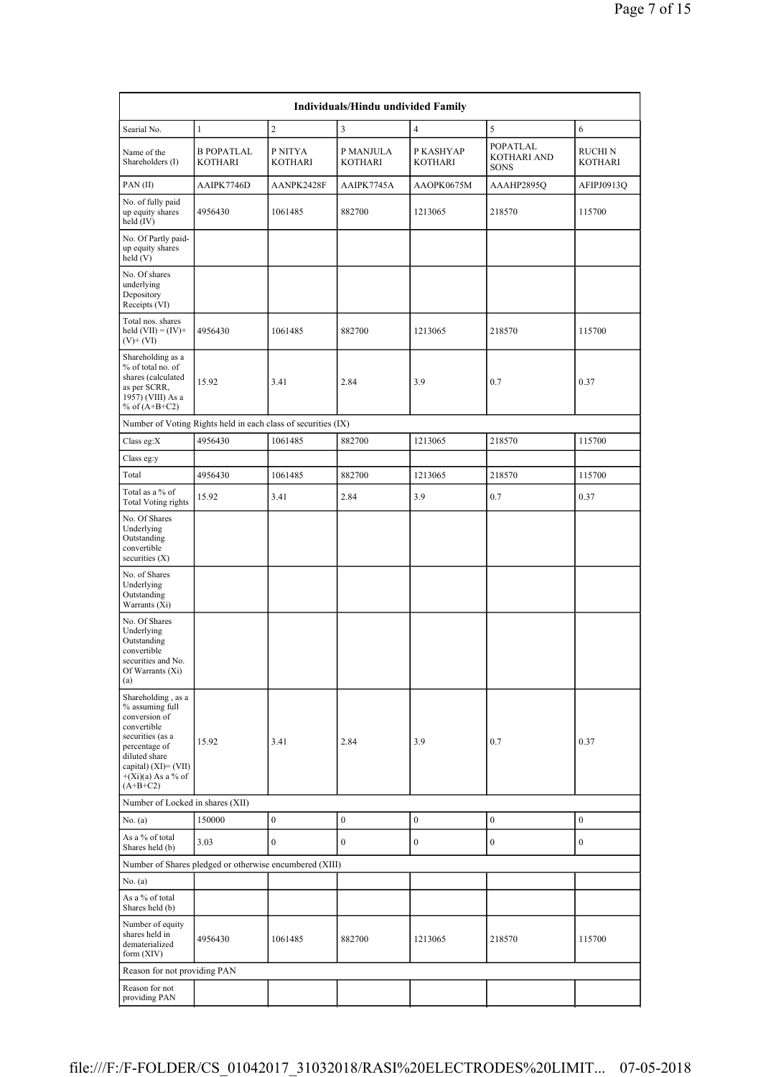| Individuals/Hindu undivided Family                                                                                                                                                           |                                                               |                           |                             |                      |                                        |                    |  |  |  |
|----------------------------------------------------------------------------------------------------------------------------------------------------------------------------------------------|---------------------------------------------------------------|---------------------------|-----------------------------|----------------------|----------------------------------------|--------------------|--|--|--|
| Searial No.                                                                                                                                                                                  | $\mathbf{1}$                                                  | $\sqrt{2}$                | 3                           | $\overline{4}$       | 5                                      | 6                  |  |  |  |
| Name of the<br>Shareholders (I)                                                                                                                                                              | <b>B POPATLAL</b><br><b>KOTHARI</b>                           | P NITYA<br><b>KOTHARI</b> | P MANJULA<br><b>KOTHARI</b> | P KASHYAP<br>KOTHARI | POPATLAL<br>KOTHARI AND<br><b>SONS</b> | RUCHI N<br>KOTHARI |  |  |  |
| PAN(II)                                                                                                                                                                                      | AAIPK7746D                                                    | AANPK2428F                | AAIPK7745A                  | AAOPK0675M           | AAAHP2895Q                             | AFIPJ0913Q         |  |  |  |
| No. of fully paid<br>up equity shares<br>held (IV)                                                                                                                                           | 4956430                                                       | 1061485                   | 882700                      | 1213065              | 218570                                 | 115700             |  |  |  |
| No. Of Partly paid-<br>up equity shares<br>held(V)                                                                                                                                           |                                                               |                           |                             |                      |                                        |                    |  |  |  |
| No. Of shares<br>underlying<br>Depository<br>Receipts (VI)                                                                                                                                   |                                                               |                           |                             |                      |                                        |                    |  |  |  |
| Total nos. shares<br>held $(VII) = (IV) +$<br>$(V)$ + $(VI)$                                                                                                                                 | 4956430                                                       | 1061485                   | 882700                      | 1213065              | 218570                                 | 115700             |  |  |  |
| Shareholding as a<br>% of total no. of<br>shares (calculated<br>as per SCRR,<br>1957) (VIII) As a<br>% of $(A+B+C2)$                                                                         | 15.92                                                         | 3.41                      | 2.84                        | 3.9                  | 0.7                                    | 0.37               |  |  |  |
|                                                                                                                                                                                              | Number of Voting Rights held in each class of securities (IX) |                           |                             |                      |                                        |                    |  |  |  |
| Class eg: $X$                                                                                                                                                                                | 4956430                                                       | 1061485                   | 882700                      | 1213065              | 218570                                 | 115700             |  |  |  |
| Class eg:y                                                                                                                                                                                   |                                                               |                           |                             |                      |                                        |                    |  |  |  |
| Total                                                                                                                                                                                        | 4956430                                                       | 1061485                   | 882700                      | 1213065              | 218570                                 | 115700             |  |  |  |
| Total as a % of<br><b>Total Voting rights</b>                                                                                                                                                | 15.92                                                         | 3.41                      | 2.84                        | 3.9                  | 0.7                                    | 0.37               |  |  |  |
| No. Of Shares<br>Underlying<br>Outstanding<br>convertible<br>securities $(X)$                                                                                                                |                                                               |                           |                             |                      |                                        |                    |  |  |  |
| No. of Shares<br>Underlying<br>Outstanding<br>Warrants (Xi)                                                                                                                                  |                                                               |                           |                             |                      |                                        |                    |  |  |  |
| No. Of Shares<br>Underlying<br>Outstanding<br>convertible<br>securities and No.<br>Of Warrants (Xi)<br>(a)                                                                                   |                                                               |                           |                             |                      |                                        |                    |  |  |  |
| Shareholding, as a<br>% assuming full<br>conversion of<br>convertible<br>securities (as a<br>percentage of<br>diluted share<br>capital) $(XI) = (VII)$<br>$+(Xi)(a)$ As a % of<br>$(A+B+C2)$ | 15.92                                                         | 3.41                      | 2.84                        | 3.9                  | 0.7                                    | 0.37               |  |  |  |
| Number of Locked in shares (XII)                                                                                                                                                             |                                                               |                           |                             |                      |                                        |                    |  |  |  |
| No. (a)                                                                                                                                                                                      | 150000                                                        | $\boldsymbol{0}$          | $\boldsymbol{0}$            | $\boldsymbol{0}$     | $\boldsymbol{0}$                       | $\mathbf{0}$       |  |  |  |
| As a % of total<br>Shares held (b)                                                                                                                                                           | 3.03                                                          | $\overline{0}$            | $\boldsymbol{0}$            | $\boldsymbol{0}$     | $\boldsymbol{0}$                       | $\mathbf{0}$       |  |  |  |
|                                                                                                                                                                                              | Number of Shares pledged or otherwise encumbered (XIII)       |                           |                             |                      |                                        |                    |  |  |  |
| No. $(a)$                                                                                                                                                                                    |                                                               |                           |                             |                      |                                        |                    |  |  |  |
| As a % of total<br>Shares held (b)                                                                                                                                                           |                                                               |                           |                             |                      |                                        |                    |  |  |  |
| Number of equity<br>shares held in<br>dematerialized<br>form (XIV)                                                                                                                           | 4956430                                                       | 1061485                   | 882700                      | 1213065              | 218570                                 | 115700             |  |  |  |
| Reason for not providing PAN                                                                                                                                                                 |                                                               |                           |                             |                      |                                        |                    |  |  |  |
| Reason for not<br>providing PAN                                                                                                                                                              |                                                               |                           |                             |                      |                                        |                    |  |  |  |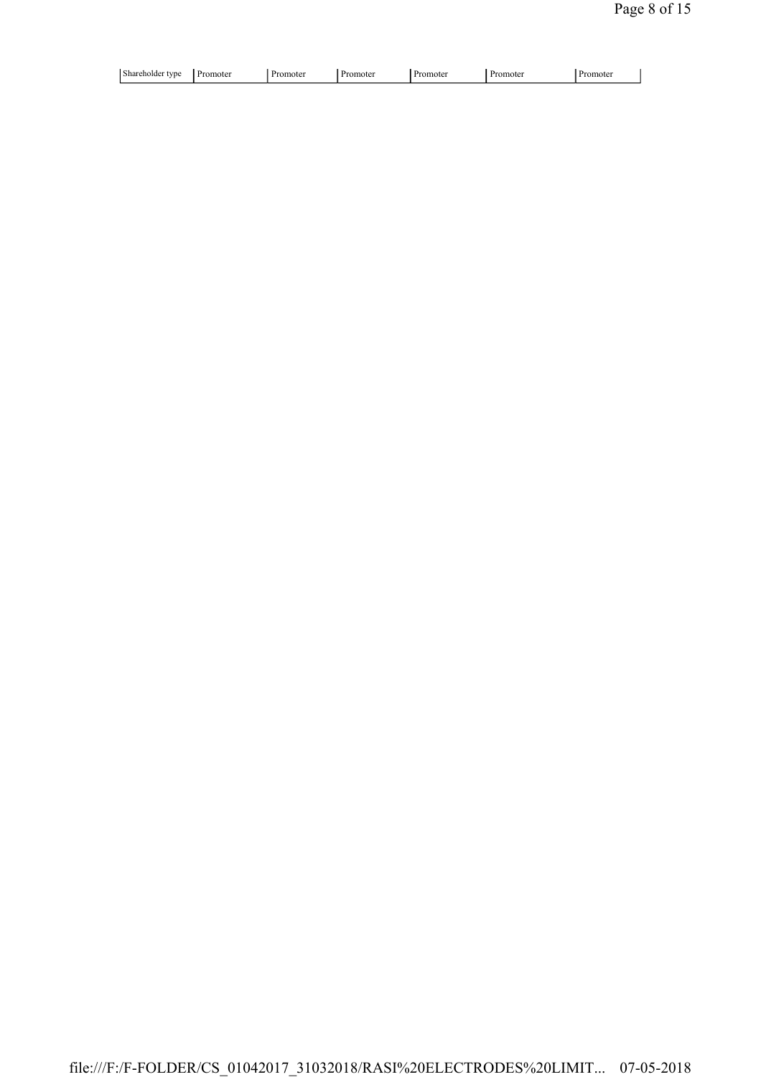| $\sim$<br>Shar<br>tyne<br>eholde<br>∿v D⊌<br>. . | ٦m<br>moter<br> | mote.<br>ΩТ | omoter | notei<br><br>۱г | .10ter<br>н | omote |
|--------------------------------------------------|-----------------|-------------|--------|-----------------|-------------|-------|
|                                                  |                 |             |        |                 |             |       |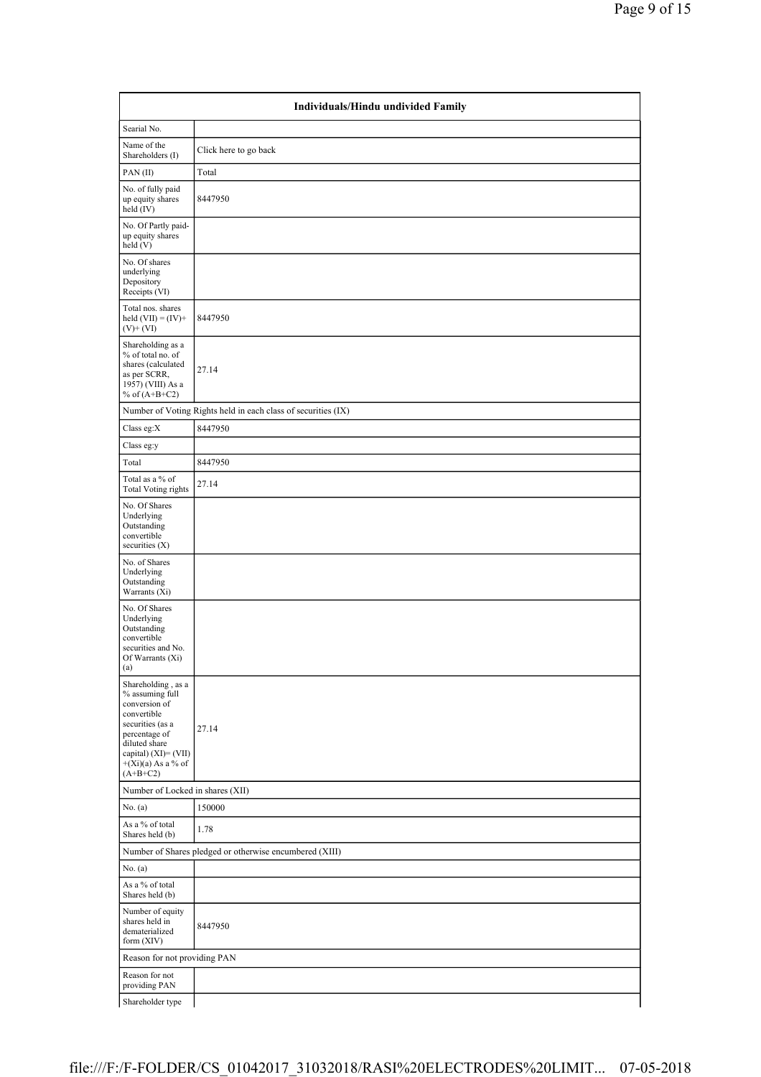|                                                                                                                                                                                              | Individuals/Hindu undivided Family                            |
|----------------------------------------------------------------------------------------------------------------------------------------------------------------------------------------------|---------------------------------------------------------------|
| Searial No.                                                                                                                                                                                  |                                                               |
| Name of the<br>Shareholders (I)                                                                                                                                                              | Click here to go back                                         |
| PAN(II)                                                                                                                                                                                      | Total                                                         |
| No. of fully paid<br>up equity shares<br>held $(IV)$                                                                                                                                         | 8447950                                                       |
| No. Of Partly paid-<br>up equity shares<br>held(V)                                                                                                                                           |                                                               |
| No. Of shares<br>underlying<br>Depository<br>Receipts (VI)                                                                                                                                   |                                                               |
| Total nos. shares<br>held $(VII) = (IV) +$<br>$(V)+(VI)$                                                                                                                                     | 8447950                                                       |
| Shareholding as a<br>% of total no. of<br>shares (calculated<br>as per SCRR,<br>1957) (VIII) As a<br>% of $(A+B+C2)$                                                                         | 27.14                                                         |
|                                                                                                                                                                                              | Number of Voting Rights held in each class of securities (IX) |
| Class eg:X                                                                                                                                                                                   | 8447950                                                       |
| Class eg:y                                                                                                                                                                                   |                                                               |
| Total                                                                                                                                                                                        | 8447950                                                       |
| Total as a % of<br>Total Voting rights                                                                                                                                                       | 27.14                                                         |
| No. Of Shares<br>Underlying<br>Outstanding<br>convertible<br>securities $(X)$                                                                                                                |                                                               |
| No. of Shares<br>Underlying<br>Outstanding<br>Warrants $(X_i)$                                                                                                                               |                                                               |
| No. Of Shares<br>Underlying<br>Outstanding<br>convertible<br>securities and No.<br>Of Warrants (Xi)<br>(a)                                                                                   |                                                               |
| Shareholding, as a<br>% assuming full<br>conversion of<br>convertible<br>securities (as a<br>percentage of<br>diluted share<br>capital) $(XI) = (VII)$<br>$+(Xi)(a)$ As a % of<br>$(A+B+C2)$ | 27.14                                                         |
| Number of Locked in shares (XII)                                                                                                                                                             |                                                               |
| No. $(a)$                                                                                                                                                                                    | 150000                                                        |
| As a % of total<br>Shares held (b)                                                                                                                                                           | 1.78                                                          |
|                                                                                                                                                                                              | Number of Shares pledged or otherwise encumbered (XIII)       |
| No. $(a)$                                                                                                                                                                                    |                                                               |
| As a % of total<br>Shares held (b)                                                                                                                                                           |                                                               |
| Number of equity<br>shares held in<br>dematerialized<br>form (XIV)                                                                                                                           | 8447950                                                       |
| Reason for not providing PAN                                                                                                                                                                 |                                                               |
| Reason for not<br>providing PAN                                                                                                                                                              |                                                               |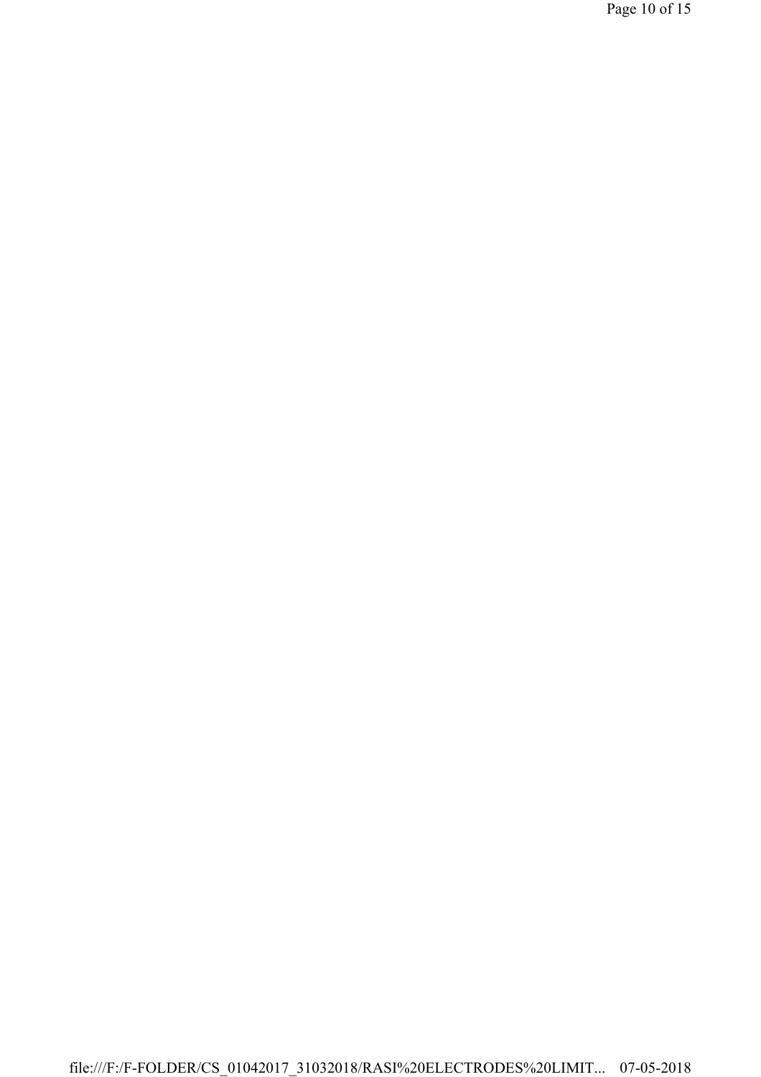Page 10 of 15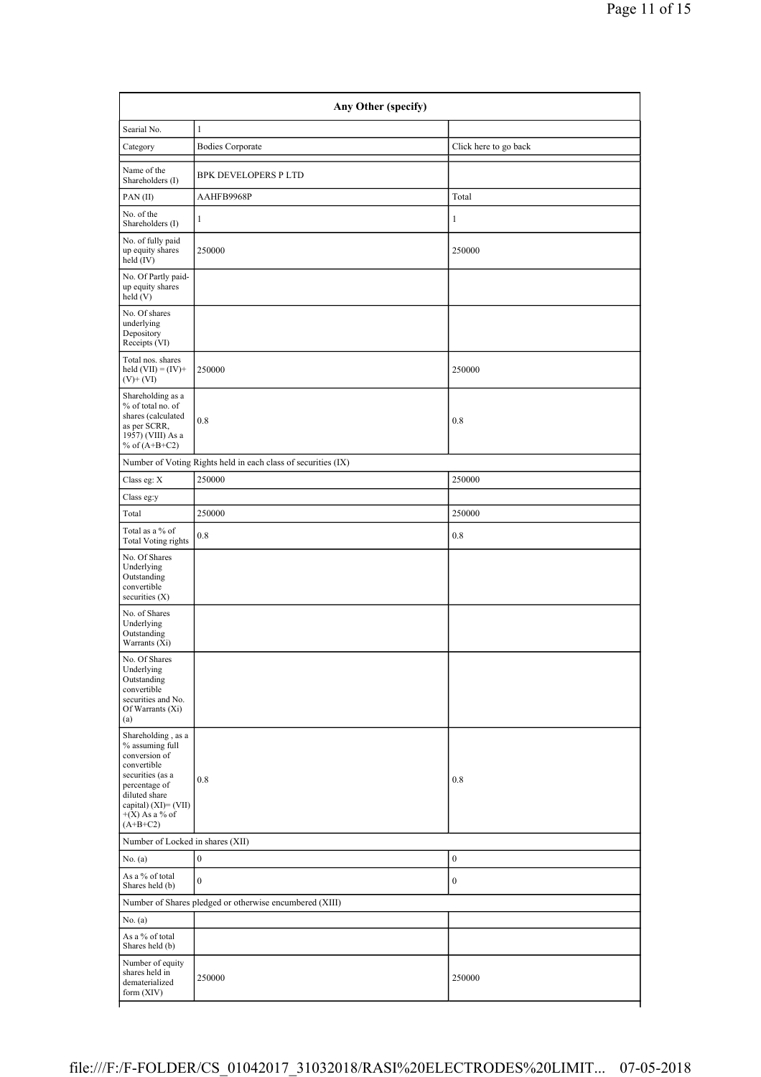| Searial No.                                                                                                                                                                              | $\mathbf{1}$                                                  |                       |
|------------------------------------------------------------------------------------------------------------------------------------------------------------------------------------------|---------------------------------------------------------------|-----------------------|
| Category                                                                                                                                                                                 | <b>Bodies Corporate</b>                                       | Click here to go back |
| Name of the<br>Shareholders (I)                                                                                                                                                          | BPK DEVELOPERS P LTD                                          |                       |
| PAN(II)                                                                                                                                                                                  | AAHFB9968P                                                    | Total                 |
| No. of the<br>Shareholders (I)                                                                                                                                                           | $\mathbf{1}$                                                  | $\mathbf{1}$          |
| No. of fully paid<br>up equity shares<br>held (IV)                                                                                                                                       | 250000                                                        | 250000                |
| No. Of Partly paid-<br>up equity shares<br>$\text{held}(V)$                                                                                                                              |                                                               |                       |
| No. Of shares<br>underlying<br>Depository<br>Receipts (VI)                                                                                                                               |                                                               |                       |
| Total nos. shares<br>held $(VII) = (IV) +$<br>$(V) + (VI)$                                                                                                                               | 250000                                                        | 250000                |
| Shareholding as a<br>% of total no. of<br>shares (calculated<br>as per SCRR,<br>1957) (VIII) As a<br>% of $(A+B+C2)$                                                                     | 0.8                                                           | 0.8                   |
|                                                                                                                                                                                          | Number of Voting Rights held in each class of securities (IX) |                       |
| Class eg: $\mathbf X$                                                                                                                                                                    | 250000                                                        | 250000                |
| Class eg:y                                                                                                                                                                               |                                                               |                       |
| Total                                                                                                                                                                                    | 250000                                                        | 250000                |
| Total as a % of<br><b>Total Voting rights</b>                                                                                                                                            | $0.8\,$                                                       | 0.8                   |
| No. Of Shares<br>Underlying<br>Outstanding<br>convertible<br>securities (X)                                                                                                              |                                                               |                       |
| No. of Shares<br>Underlying<br>Outstanding<br>Warrants $(X_i)$                                                                                                                           |                                                               |                       |
| No. Of Shares<br>Underlying<br>Outstanding<br>convertible<br>securities and No.<br>Of Warrants $(Xi)$<br>(a)                                                                             |                                                               |                       |
| Shareholding, as a<br>$\%$ assuming full<br>conversion of<br>convertible<br>securities (as a<br>percentage of<br>diluted share<br>capital) (XI)= (VII)<br>$+(X)$ As a % of<br>$(A+B+C2)$ | 0.8                                                           | 0.8                   |
| Number of Locked in shares (XII)                                                                                                                                                         |                                                               |                       |
| No. (a)                                                                                                                                                                                  | $\mathbf{0}$                                                  | $\boldsymbol{0}$      |
| As a % of total<br>Shares held (b)                                                                                                                                                       | $\overline{0}$                                                | $\overline{0}$        |
|                                                                                                                                                                                          | Number of Shares pledged or otherwise encumbered (XIII)       |                       |
| No. (a)                                                                                                                                                                                  |                                                               |                       |
| As a $\%$ of total<br>Shares held (b)                                                                                                                                                    |                                                               |                       |
| Number of equity<br>shares held in<br>dematerialized<br>form $(XIV)$                                                                                                                     | 250000                                                        | 250000                |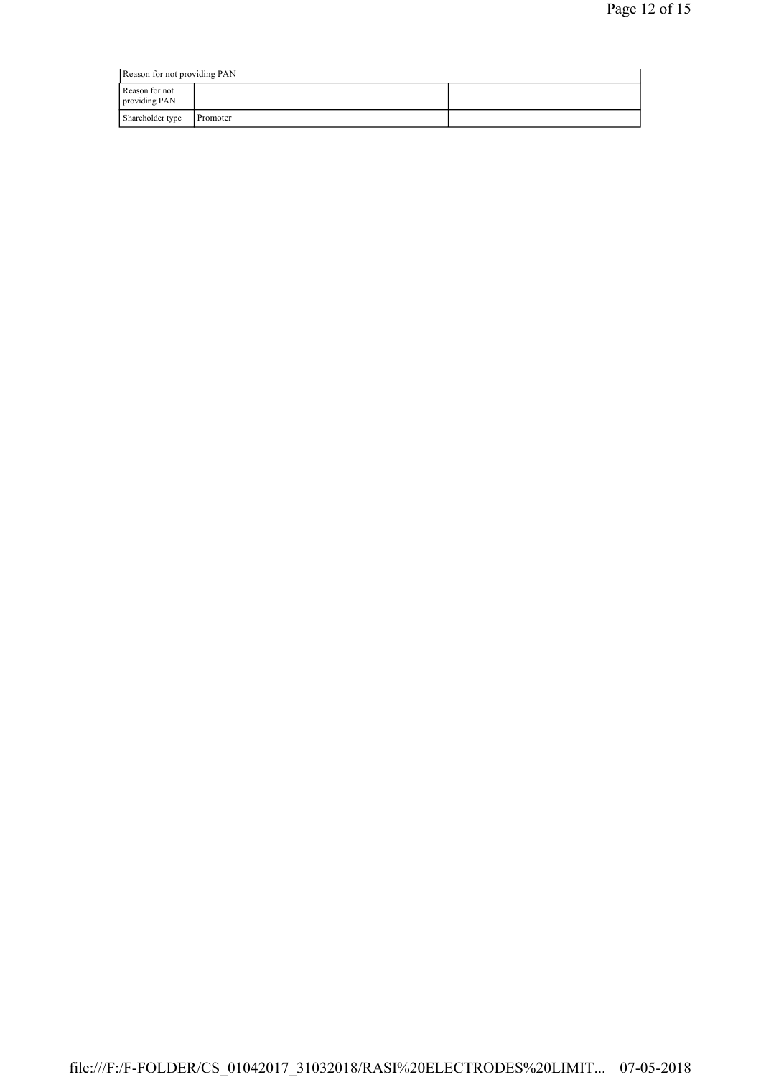| Reason for not providing PAN    |          |  |  |  |  |  |  |
|---------------------------------|----------|--|--|--|--|--|--|
| Reason for not<br>providing PAN |          |  |  |  |  |  |  |
| Shareholder type                | Promoter |  |  |  |  |  |  |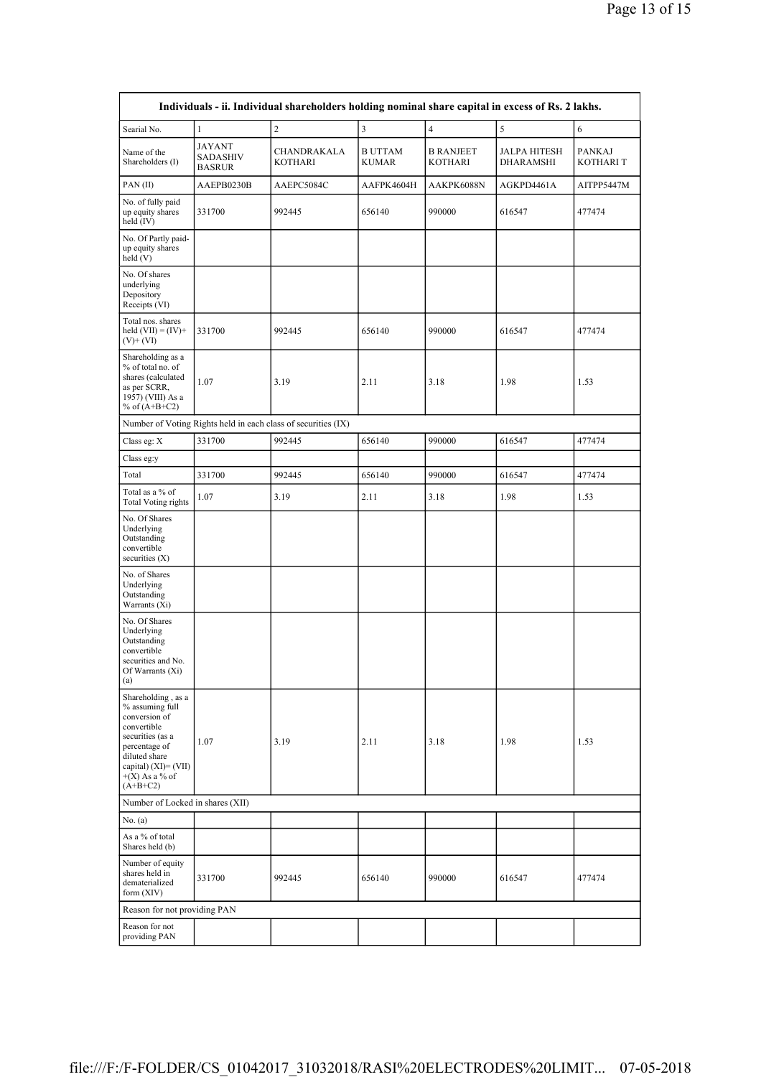|                                                                                                                                                                                       | Individuals - ii. Individual shareholders holding nominal share capital in excess of Rs. 2 lakhs. |                                                               |                                |                             |                                  |                            |  |  |  |  |  |
|---------------------------------------------------------------------------------------------------------------------------------------------------------------------------------------|---------------------------------------------------------------------------------------------------|---------------------------------------------------------------|--------------------------------|-----------------------------|----------------------------------|----------------------------|--|--|--|--|--|
| Searial No.                                                                                                                                                                           | $\mathbf{1}$                                                                                      | $\overline{c}$                                                | $\mathfrak{Z}$                 | $\overline{4}$              | 5                                | 6                          |  |  |  |  |  |
| Name of the<br>Shareholders (I)                                                                                                                                                       | <b>JAYANT</b><br><b>SADASHIV</b><br><b>BASRUR</b>                                                 | CHANDRAKALA<br><b>KOTHARI</b>                                 | <b>B UTTAM</b><br><b>KUMAR</b> | <b>B RANJEET</b><br>KOTHARI | <b>JALPA HITESH</b><br>DHARAMSHI | <b>PANKAJ</b><br>KOTHARI T |  |  |  |  |  |
| PAN(II)                                                                                                                                                                               | AAEPB0230B                                                                                        | AAEPC5084C                                                    | AAFPK4604H                     | AAKPK6088N                  | AGKPD4461A                       | AITPP5447M                 |  |  |  |  |  |
| No. of fully paid<br>up equity shares<br>held (IV)                                                                                                                                    | 331700                                                                                            | 992445                                                        | 656140                         | 990000                      | 616547                           | 477474                     |  |  |  |  |  |
| No. Of Partly paid-<br>up equity shares<br>held(V)                                                                                                                                    |                                                                                                   |                                                               |                                |                             |                                  |                            |  |  |  |  |  |
| No. Of shares<br>underlying<br>Depository<br>Receipts (VI)                                                                                                                            |                                                                                                   |                                                               |                                |                             |                                  |                            |  |  |  |  |  |
| Total nos. shares<br>held $(VII) = (IV) +$<br>$(V)$ + $(VI)$                                                                                                                          | 331700                                                                                            | 992445                                                        | 656140                         | 990000                      | 616547                           | 477474                     |  |  |  |  |  |
| Shareholding as a<br>% of total no. of<br>shares (calculated<br>as per SCRR,<br>1957) (VIII) As a<br>% of $(A+B+C2)$                                                                  | 1.07                                                                                              | 3.19                                                          | 2.11                           | 3.18                        | 1.98                             | 1.53                       |  |  |  |  |  |
|                                                                                                                                                                                       |                                                                                                   | Number of Voting Rights held in each class of securities (IX) |                                |                             |                                  |                            |  |  |  |  |  |
| Class eg: X                                                                                                                                                                           | 331700                                                                                            | 992445                                                        | 656140                         | 990000                      | 616547                           | 477474                     |  |  |  |  |  |
| Class eg:y                                                                                                                                                                            |                                                                                                   |                                                               |                                |                             |                                  |                            |  |  |  |  |  |
| Total                                                                                                                                                                                 | 331700                                                                                            | 992445                                                        | 656140                         | 990000                      | 616547                           | 477474                     |  |  |  |  |  |
| Total as a % of<br><b>Total Voting rights</b>                                                                                                                                         | 1.07                                                                                              | 3.19                                                          | 2.11                           | 3.18                        | 1.98                             | 1.53                       |  |  |  |  |  |
| No. Of Shares<br>Underlying<br>Outstanding<br>convertible<br>securities $(X)$                                                                                                         |                                                                                                   |                                                               |                                |                             |                                  |                            |  |  |  |  |  |
| No. of Shares<br>Underlying<br>Outstanding<br>Warrants (Xi)                                                                                                                           |                                                                                                   |                                                               |                                |                             |                                  |                            |  |  |  |  |  |
| No. Of Shares<br>Underlying<br>Outstanding<br>convertible<br>securities and No.<br>Of Warrants (Xi)<br>(a)                                                                            |                                                                                                   |                                                               |                                |                             |                                  |                            |  |  |  |  |  |
| Shareholding, as a<br>% assuming full<br>conversion of<br>convertible<br>securities (as a<br>percentage of<br>diluted share<br>capital) (XI)= (VII)<br>$+(X)$ As a % of<br>$(A+B+C2)$ | 1.07                                                                                              | 3.19                                                          | 2.11                           | 3.18                        | 1.98                             | 1.53                       |  |  |  |  |  |
| Number of Locked in shares (XII)                                                                                                                                                      |                                                                                                   |                                                               |                                |                             |                                  |                            |  |  |  |  |  |
| No. (a)                                                                                                                                                                               |                                                                                                   |                                                               |                                |                             |                                  |                            |  |  |  |  |  |
| As a % of total<br>Shares held (b)                                                                                                                                                    |                                                                                                   |                                                               |                                |                             |                                  |                            |  |  |  |  |  |
| Number of equity<br>shares held in<br>dematerialized<br>form (XIV)                                                                                                                    | 331700                                                                                            | 992445                                                        | 656140                         | 990000                      | 616547                           | 477474                     |  |  |  |  |  |
| Reason for not providing PAN                                                                                                                                                          |                                                                                                   |                                                               |                                |                             |                                  |                            |  |  |  |  |  |
| Reason for not<br>providing PAN                                                                                                                                                       |                                                                                                   |                                                               |                                |                             |                                  |                            |  |  |  |  |  |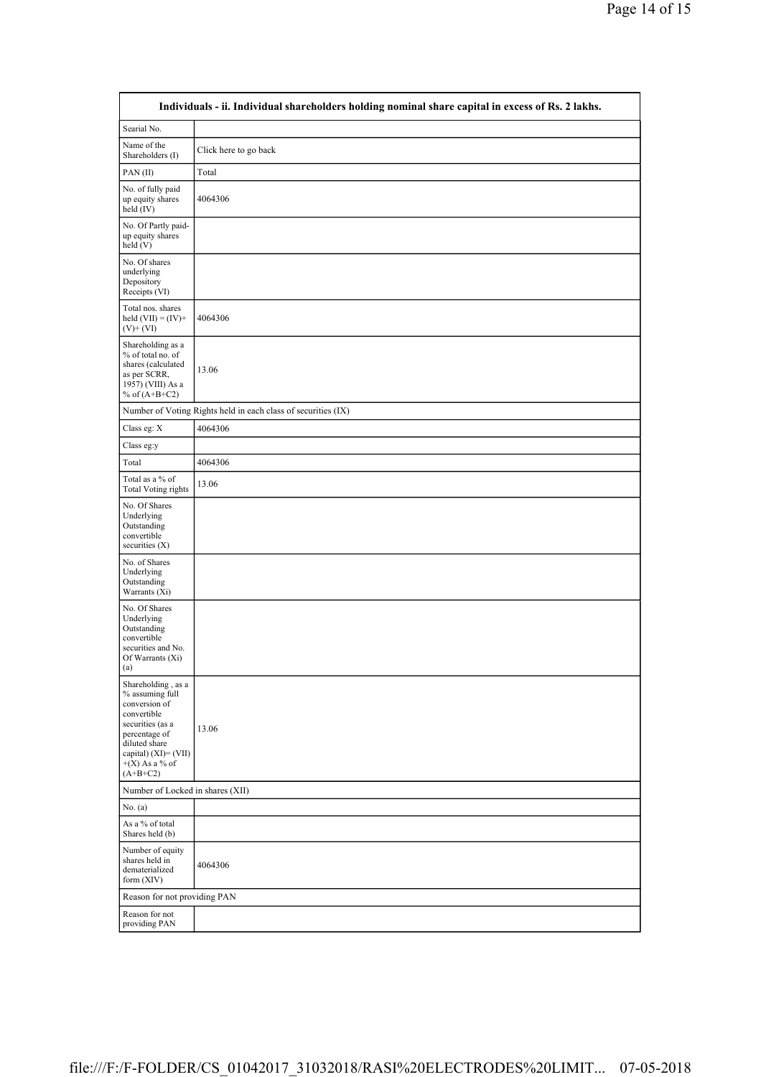| Individuals - ii. Individual shareholders holding nominal share capital in excess of Rs. 2 lakhs.                                                                                        |                       |
|------------------------------------------------------------------------------------------------------------------------------------------------------------------------------------------|-----------------------|
| Searial No.                                                                                                                                                                              |                       |
| Name of the<br>Shareholders (I)                                                                                                                                                          | Click here to go back |
| PAN(II)                                                                                                                                                                                  | Total                 |
| No. of fully paid<br>up equity shares<br>held (IV)                                                                                                                                       | 4064306               |
| No. Of Partly paid-<br>up equity shares<br>held (V)                                                                                                                                      |                       |
| No. Of shares<br>underlying<br>Depository<br>Receipts (VI)                                                                                                                               |                       |
| Total nos. shares<br>held $(VII) = (IV) +$<br>$(V)$ + $(VI)$                                                                                                                             | 4064306               |
| Shareholding as a<br>% of total no. of<br>shares (calculated<br>as per SCRR,<br>1957) (VIII) As a<br>% of $(A+B+C2)$                                                                     | 13.06                 |
| Number of Voting Rights held in each class of securities (IX)                                                                                                                            |                       |
| Class eg: $\mathbf X$                                                                                                                                                                    | 4064306               |
| Class eg:y                                                                                                                                                                               |                       |
| Total                                                                                                                                                                                    | 4064306               |
| Total as a % of<br><b>Total Voting rights</b>                                                                                                                                            | 13.06                 |
| No. Of Shares<br>Underlying<br>Outstanding<br>convertible<br>securities $(X)$                                                                                                            |                       |
| No. of Shares<br>Underlying<br>Outstanding<br>Warrants (Xi)                                                                                                                              |                       |
| No. Of Shares<br>Underlying<br>Outstanding<br>convertible<br>securities and No.<br>Of Warrants (Xi)<br>(a)                                                                               |                       |
| Shareholding, as a<br>% assuming full<br>conversion of<br>convertible<br>securities (as a<br>percentage of<br>diluted share<br>capital) $(XI) = (VII)$<br>$+(X)$ As a % of<br>$(A+B+C2)$ | 13.06                 |
| Number of Locked in shares (XII)                                                                                                                                                         |                       |
| No. (a)                                                                                                                                                                                  |                       |
| As a % of total<br>Shares held (b)                                                                                                                                                       |                       |
| Number of equity<br>shares held in<br>dematerialized<br>form (XIV)                                                                                                                       | 4064306               |
| Reason for not providing PAN                                                                                                                                                             |                       |
| Reason for not<br>providing PAN                                                                                                                                                          |                       |